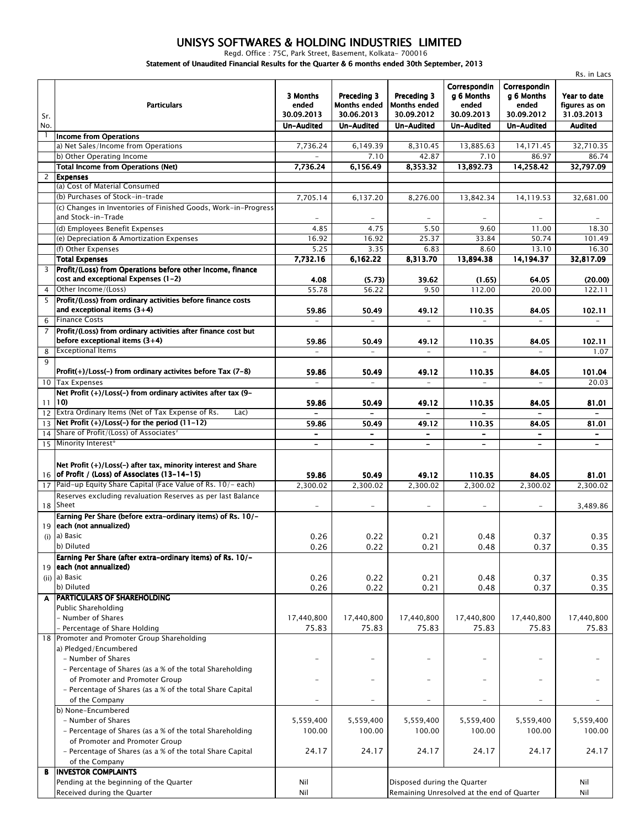## *UNISYS SOFTWARES & HOLDING INDUSTRIES LIMITED*

*Regd. Office : 75C, Park Street, Basement, Kolkata- 700016*

*Statement of Unaudited Financial Results for the Quarter & 6 months ended 30th September, 2013*

|                |                                                                                        |                                                      |                                                                |                                                                |                                                                        |                                                                        | Rs. in Lacs                                                   |
|----------------|----------------------------------------------------------------------------------------|------------------------------------------------------|----------------------------------------------------------------|----------------------------------------------------------------|------------------------------------------------------------------------|------------------------------------------------------------------------|---------------------------------------------------------------|
| Sr.<br>No.     | <b>Particulars</b>                                                                     | 3 Months<br>ended<br>30.09.2013<br><b>Un-Audited</b> | Preceding 3<br><b>Months ended</b><br>30.06.2013<br>Un-Audited | Preceding 3<br><b>Months ended</b><br>30.09.2012<br>Un-Audited | Correspondin<br>g 6 Months<br>ended<br>30.09.2013<br><b>Un-Audited</b> | Correspondin<br>g 6 Months<br>ended<br>30.09.2012<br><b>Un-Audited</b> | Year to date<br>figures as on<br>31.03.2013<br><b>Audited</b> |
| 1              | <b>Income from Operations</b>                                                          |                                                      |                                                                |                                                                |                                                                        |                                                                        |                                                               |
|                | a) Net Sales/Income from Operations                                                    | 7.736.24                                             | 6,149.39                                                       | 8,310.45                                                       | 13,885.63                                                              | 14.171.45                                                              | 32,710.35                                                     |
|                | b) Other Operating Income                                                              |                                                      | 7.10                                                           | 42.87                                                          | 7.10                                                                   | 86.97                                                                  | 86.74                                                         |
|                | <b>Total Income from Operations (Net)</b>                                              | 7,736.24                                             | 6,156.49                                                       | 8,353.32                                                       | 13,892.73                                                              | 14,258.42                                                              | 32,797.09                                                     |
| $\mathbf{2}$   | <b>Expenses</b>                                                                        |                                                      |                                                                |                                                                |                                                                        |                                                                        |                                                               |
|                | (a) Cost of Material Consumed                                                          |                                                      |                                                                |                                                                |                                                                        |                                                                        |                                                               |
|                | (b) Purchases of Stock-in-trade                                                        | 7,705.14                                             | 6,137.20                                                       | 8,276.00                                                       | 13,842.34                                                              | 14,119.53                                                              | 32,681.00                                                     |
|                | (c) Changes in Inventories of Finished Goods, Work-in-Progress                         |                                                      |                                                                |                                                                |                                                                        |                                                                        |                                                               |
|                | and Stock-in-Trade                                                                     |                                                      |                                                                |                                                                |                                                                        |                                                                        |                                                               |
|                | (d) Employees Benefit Expenses                                                         | 4.85                                                 | 4.75                                                           | 5.50                                                           | 9.60                                                                   | 11.00                                                                  | 18.30                                                         |
|                | (e) Depreciation & Amortization Expenses                                               | 16.92                                                | 16.92                                                          | 25.37                                                          | 33.84                                                                  | 50.74                                                                  | 101.49                                                        |
|                | (f) Other Expenses                                                                     | 5.25                                                 | 3.35                                                           | 6.83                                                           | 8.60                                                                   | 13.10                                                                  | 16.30                                                         |
|                | <b>Total Expenses</b>                                                                  | 7,732.16                                             | 6,162.22                                                       | 8,313.70                                                       | 13,894.38                                                              | 14,194.37                                                              | 32,817.09                                                     |
| $\overline{3}$ | Profit/(Loss) from Operations before other Income, finance                             |                                                      |                                                                |                                                                |                                                                        |                                                                        |                                                               |
|                | cost and exceptional Expenses (1-2)                                                    | 4.08                                                 | (5.73)                                                         | 39.62                                                          | (1.65)                                                                 | 64.05                                                                  | (20.00)                                                       |
| $\overline{4}$ | Other Income/(Loss)                                                                    | 55.78                                                | 56.22                                                          | 9.50                                                           | 112.00                                                                 | 20.00                                                                  | 122.11                                                        |
| 5              | Profit/(Loss) from ordinary activities before finance costs                            |                                                      |                                                                |                                                                |                                                                        |                                                                        |                                                               |
|                | and exceptional items $(3+4)$                                                          | 59.86                                                | 50.49                                                          | 49.12                                                          | 110.35                                                                 | 84.05                                                                  | 102.11                                                        |
| 6              | <b>Finance Costs</b>                                                                   |                                                      | $\equiv$                                                       | $\equiv$                                                       | $\equiv$                                                               | $\equiv$                                                               | $\overline{\phantom{a}}$                                      |
| $\overline{7}$ | Profit/(Loss) from ordinary activities after finance cost but                          |                                                      |                                                                |                                                                |                                                                        |                                                                        |                                                               |
|                | before exceptional items $(3+4)$                                                       | 59.86                                                | 50.49                                                          | 49.12                                                          | 110.35                                                                 | 84.05                                                                  | 102.11                                                        |
| 8              | <b>Exceptional Items</b>                                                               |                                                      |                                                                | $\overline{\phantom{0}}$                                       |                                                                        |                                                                        | 1.07                                                          |
| 9              |                                                                                        |                                                      |                                                                |                                                                |                                                                        |                                                                        |                                                               |
|                | Profit(+)/Loss(-) from ordinary activites before Tax (7-8)                             | 59.86                                                | 50.49                                                          | 49.12                                                          | 110.35                                                                 | 84.05                                                                  | 101.04                                                        |
|                | 10 Tax Expenses                                                                        | $\equiv$                                             | $\overline{a}$                                                 | $\equiv$                                                       | $\equiv$                                                               | $\equiv$                                                               | 20.03                                                         |
|                | Net Profit (+)/Loss(-) from ordinary activites after tax (9-                           |                                                      |                                                                |                                                                |                                                                        |                                                                        |                                                               |
|                | $11$ (10)                                                                              | 59.86                                                | 50.49                                                          | 49.12                                                          | 110.35                                                                 | 84.05                                                                  | 81.01                                                         |
| 12             | Extra Ordinary Items (Net of Tax Expense of Rs.<br>Lac)                                | $\blacksquare$                                       | $\blacksquare$                                                 | $\blacksquare$                                                 | $\blacksquare$                                                         | $\blacksquare$                                                         | $\overline{\phantom{0}}$                                      |
|                | $13$ Net Profit $(+)/$ Loss $(-)$ for the period $(11-12)$                             | 59.86                                                | 50.49                                                          | 49.12                                                          | 110.35                                                                 | 84.05                                                                  | 81.01                                                         |
| 14             | Share of Profit/(Loss) of Associates <sup>®</sup>                                      | $\qquad \qquad \blacksquare$                         |                                                                |                                                                |                                                                        | $\overline{\phantom{a}}$                                               | $\qquad \qquad \blacksquare$                                  |
| 15             | Minority Interest*                                                                     | $\overline{\phantom{a}}$                             | $\hbox{\small -}$                                              | $\blacksquare$                                                 | $\overline{\phantom{a}}$                                               | $\overline{\phantom{a}}$                                               | $\qquad \qquad \blacksquare$                                  |
|                |                                                                                        |                                                      |                                                                |                                                                |                                                                        |                                                                        |                                                               |
|                | Net Profit (+)/Loss(-) after tax, minority interest and Share                          |                                                      |                                                                |                                                                |                                                                        |                                                                        |                                                               |
|                | 16 of Profit / (Loss) of Associates (13-14-15)                                         | 59.86                                                | 50.49                                                          | 49.12                                                          | 110.35                                                                 | 84.05                                                                  | 81.01                                                         |
| 17             | Paid-up Equity Share Capital (Face Value of Rs. 10/- each)                             | 2,300.02                                             | 2,300.02                                                       | 2,300.02                                                       | 2,300.02                                                               | 2,300.02                                                               | 2,300.02                                                      |
|                | Reserves excluding revaluation Reserves as per last Balance                            |                                                      |                                                                |                                                                |                                                                        |                                                                        |                                                               |
|                | 18 Sheet                                                                               | $\equiv$                                             | $\qquad \qquad -$                                              | $\overline{\phantom{a}}$                                       | $\overline{\phantom{a}}$                                               | $\equiv$                                                               | 3,489.86                                                      |
|                | Earning Per Share (before extra-ordinary items) of Rs. 10/-                            |                                                      |                                                                |                                                                |                                                                        |                                                                        |                                                               |
|                | 19 each (not annualized)<br>$(i)$ a) Basic                                             |                                                      |                                                                |                                                                |                                                                        |                                                                        |                                                               |
|                | b) Diluted                                                                             | 0.26                                                 | 0.22                                                           | 0.21                                                           | 0.48                                                                   | 0.37                                                                   | 0.35                                                          |
|                |                                                                                        | 0.26                                                 | 0.22                                                           | 0.21                                                           | 0.48                                                                   | 0.37                                                                   | 0.35                                                          |
|                | Earning Per Share (after extra-ordinary items) of Rs. 10/-<br>19 each (not annualized) |                                                      |                                                                |                                                                |                                                                        |                                                                        |                                                               |
|                | (ii) a) Basic                                                                          | 0.26                                                 |                                                                |                                                                |                                                                        |                                                                        | 0.35                                                          |
|                | b) Diluted                                                                             | 0.26                                                 | 0.22<br>0.22                                                   | 0.21<br>0.21                                                   | 0.48<br>0.48                                                           | 0.37<br>0.37                                                           | 0.35                                                          |
| A              | <b>PARTICULARS OF SHAREHOLDING</b>                                                     |                                                      |                                                                |                                                                |                                                                        |                                                                        |                                                               |
|                | Public Shareholding                                                                    |                                                      |                                                                |                                                                |                                                                        |                                                                        |                                                               |
|                | - Number of Shares                                                                     | 17,440,800                                           | 17,440,800                                                     | 17,440,800                                                     | 17,440,800                                                             | 17,440,800                                                             | 17,440,800                                                    |
|                | Percentage of Share Holding                                                            | 75.83                                                | 75.83                                                          | 75.83                                                          | 75.83                                                                  | 75.83                                                                  | 75.83                                                         |
|                | 18 Promoter and Promoter Group Shareholding                                            |                                                      |                                                                |                                                                |                                                                        |                                                                        |                                                               |
|                | a) Pledged/Encumbered                                                                  |                                                      |                                                                |                                                                |                                                                        |                                                                        |                                                               |
|                | - Number of Shares                                                                     | $\overline{\phantom{0}}$                             | $\overline{\phantom{0}}$                                       |                                                                |                                                                        | $\equiv$                                                               |                                                               |
|                | - Percentage of Shares (as a % of the total Shareholding                               |                                                      |                                                                |                                                                |                                                                        |                                                                        |                                                               |
|                | of Promoter and Promoter Group                                                         | $\equiv$                                             |                                                                |                                                                |                                                                        | $\overline{\phantom{0}}$                                               |                                                               |
|                | - Percentage of Shares (as a % of the total Share Capital                              |                                                      |                                                                |                                                                |                                                                        |                                                                        |                                                               |
|                | of the Company                                                                         | $\qquad \qquad -$                                    | $\overline{\phantom{0}}$                                       | $\overline{\phantom{a}}$                                       | $\overline{\phantom{a}}$                                               | $\overline{\phantom{a}}$                                               |                                                               |
|                | b) None-Encumbered                                                                     |                                                      |                                                                |                                                                |                                                                        |                                                                        |                                                               |
|                | - Number of Shares                                                                     | 5,559,400                                            | 5,559,400                                                      | 5,559,400                                                      | 5,559,400                                                              | 5,559,400                                                              | 5,559,400                                                     |
|                | - Percentage of Shares (as a % of the total Shareholding                               | 100.00                                               | 100.00                                                         | 100.00                                                         | 100.00                                                                 | 100.00                                                                 | 100.00                                                        |
|                | of Promoter and Promoter Group                                                         |                                                      |                                                                |                                                                |                                                                        |                                                                        |                                                               |
|                | - Percentage of Shares (as a % of the total Share Capital                              | 24.17                                                | 24.17                                                          | 24.17                                                          | 24.17                                                                  | 24.17                                                                  | 24.17                                                         |
|                | of the Company                                                                         |                                                      |                                                                |                                                                |                                                                        |                                                                        |                                                               |
| В              | <b>INVESTOR COMPLAINTS</b>                                                             |                                                      |                                                                |                                                                |                                                                        |                                                                        |                                                               |
|                | Pending at the beginning of the Quarter                                                | Nil                                                  |                                                                | Disposed during the Quarter                                    |                                                                        |                                                                        | Nil                                                           |
|                | Received during the Quarter                                                            | Nil                                                  |                                                                | Remaining Unresolved at the end of Quarter                     |                                                                        |                                                                        | Nil                                                           |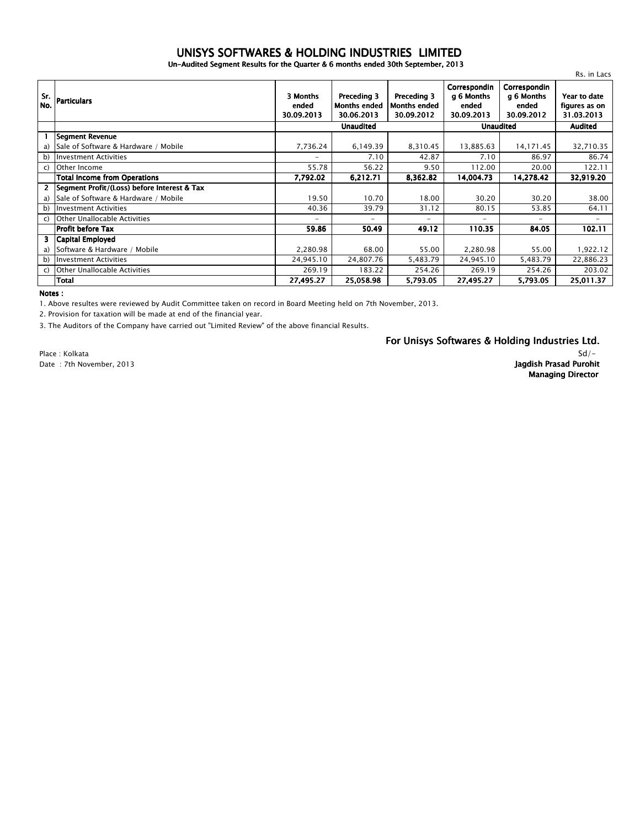## *Un-Audited Segment Results for the Quarter & 6 months ended 30th September, 2013 UNISYS SOFTWARES & HOLDING INDUSTRIES LIMITED*

|            |                                             |                                 |                                                  |                                                  |                                                   |                                                   | Rs. in Lacs                                 |
|------------|---------------------------------------------|---------------------------------|--------------------------------------------------|--------------------------------------------------|---------------------------------------------------|---------------------------------------------------|---------------------------------------------|
| Sr.<br>No. | <b>Particulars</b>                          | 3 Months<br>ended<br>30.09.2013 | Preceding 3<br><b>Months ended</b><br>30.06.2013 | Preceding 3<br><b>Months ended</b><br>30.09.2012 | Correspondin<br>q 6 Months<br>ended<br>30.09.2013 | Correspondin<br>q 6 Months<br>ended<br>30.09.2012 | Year to date<br>figures as on<br>31.03.2013 |
|            |                                             | <b>Unaudited</b>                |                                                  |                                                  | <b>Unaudited</b>                                  |                                                   | <b>Audited</b>                              |
|            | <b>Segment Revenue</b>                      |                                 |                                                  |                                                  |                                                   |                                                   |                                             |
| a)         | Sale of Software & Hardware / Mobile        | 7,736.24                        | 6,149.39                                         | 8,310.45                                         | 13,885.63                                         | 14,171.45                                         | 32,710.35                                   |
| b)         | <b>Investment Activities</b>                | $\overline{\phantom{a}}$        | 7.10                                             | 42.87                                            | 7.10                                              | 86.97                                             | 86.74                                       |
| C)         | Other Income                                | 55.78                           | 56.22                                            | 9.50                                             | 112.00                                            | 20.00                                             | 122.11                                      |
|            | <b>Total Income from Operations</b>         | 7,792.02                        | 6,212.71                                         | 8,362.82                                         | 14,004.73                                         | 14,278.42                                         | 32,919.20                                   |
| 2          | Segment Profit/(Loss) before Interest & Tax |                                 |                                                  |                                                  |                                                   |                                                   |                                             |
| a)         | Sale of Software & Hardware / Mobile        | 19.50                           | 10.70                                            | 18.00                                            | 30.20                                             | 30.20                                             | 38.00                                       |
|            | b) Investment Activities                    | 40.36                           | 39.79                                            | 31.12                                            | 80.15                                             | 53.85                                             | 64.11                                       |
| C)         | Other Unallocable Activities                | $\overline{\phantom{m}}$        | $\overline{\phantom{0}}$                         | $-$                                              | $\overline{\phantom{0}}$                          | $-$                                               | $-$                                         |
|            | Profit before Tax                           | 59.86                           | 50.49                                            | 49.12                                            | 110.35                                            | 84.05                                             | 102.11                                      |
| 3.         | Capital Employed                            |                                 |                                                  |                                                  |                                                   |                                                   |                                             |
| a)         | Software & Hardware / Mobile                | 2,280.98                        | 68.00                                            | 55.00                                            | 2,280.98                                          | 55.00                                             | 1,922.12                                    |
| b)         | <b>Investment Activities</b>                | 24,945.10                       | 24,807.76                                        | 5,483.79                                         | 24,945.10                                         | 5,483.79                                          | 22,886.23                                   |
| C)         | <b>Other Unallocable Activities</b>         | 269.19                          | 183.22                                           | 254.26                                           | 269.19                                            | 254.26                                            | 203.02                                      |
|            | Total                                       | 27,495.27                       | 25,058.98                                        | 5,793.05                                         | 27,495.27                                         | 5,793.05                                          | 25,011.37                                   |

*Notes :*

*1. Above resultes were reviewed by Audit Committee taken on record in Board Meeting held on 7th November, 2013.*

*2. Provision for taxation will be made at end of the financial year.*

*3. The Auditors of the Company have carried out "Limited Review" of the above financial Results.*

*For Unisys Softwares & Holding Industries Ltd.*

*Place : Kolkata Date : 7th November, 2013*

## *Sd/- Jagdish Prasad Purohit Managing Director*